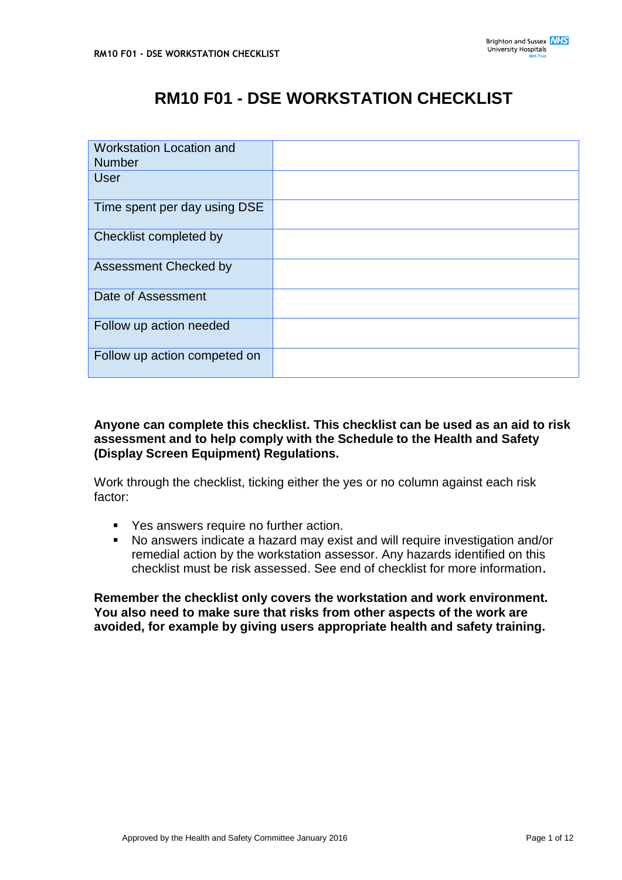# **RM10 F01 - DSE WORKSTATION CHECKLIST**

| <b>Workstation Location and</b><br><b>Number</b> |  |
|--------------------------------------------------|--|
|                                                  |  |
| <b>User</b>                                      |  |
| Time spent per day using DSE                     |  |
| Checklist completed by                           |  |
| <b>Assessment Checked by</b>                     |  |
| Date of Assessment                               |  |
| Follow up action needed                          |  |
| Follow up action competed on                     |  |

# **Anyone can complete this checklist. This checklist can be used as an aid to risk assessment and to help comply with the Schedule to the Health and Safety (Display Screen Equipment) Regulations.**

Work through the checklist, ticking either the yes or no column against each risk factor:

- Yes answers require no further action.
- No answers indicate a hazard may exist and will require investigation and/or remedial action by the workstation assessor. Any hazards identified on this checklist must be risk assessed. See end of checklist for more information.

**Remember the checklist only covers the workstation and work environment. You also need to make sure that risks from other aspects of the work are avoided, for example by giving users appropriate health and safety training.**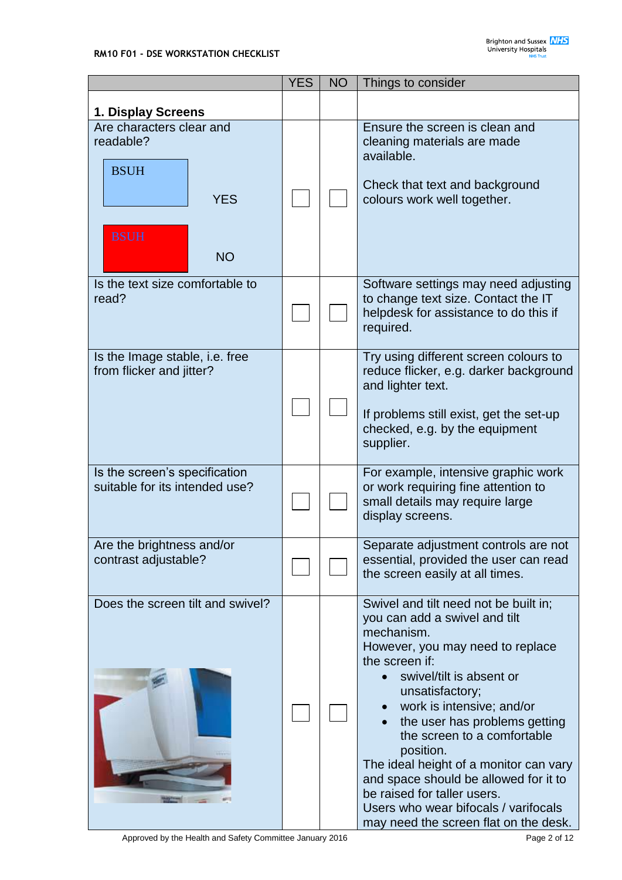|                                                                            | <b>YES</b> | <b>NO</b> | Things to consider                                                                                                                                                                                                                                                                                                                                                                                                                                                                                     |
|----------------------------------------------------------------------------|------------|-----------|--------------------------------------------------------------------------------------------------------------------------------------------------------------------------------------------------------------------------------------------------------------------------------------------------------------------------------------------------------------------------------------------------------------------------------------------------------------------------------------------------------|
|                                                                            |            |           |                                                                                                                                                                                                                                                                                                                                                                                                                                                                                                        |
| 1. Display Screens<br>Are characters clear and<br>readable?<br><b>BSUH</b> |            |           | Ensure the screen is clean and<br>cleaning materials are made<br>available.<br>Check that text and background                                                                                                                                                                                                                                                                                                                                                                                          |
| <b>YES</b><br><b>BSUH</b><br><b>NO</b>                                     |            |           | colours work well together.                                                                                                                                                                                                                                                                                                                                                                                                                                                                            |
| Is the text size comfortable to<br>read?                                   |            |           | Software settings may need adjusting<br>to change text size. Contact the IT<br>helpdesk for assistance to do this if<br>required.                                                                                                                                                                                                                                                                                                                                                                      |
| Is the Image stable, i.e. free<br>from flicker and jitter?                 |            |           | Try using different screen colours to<br>reduce flicker, e.g. darker background<br>and lighter text.<br>If problems still exist, get the set-up<br>checked, e.g. by the equipment<br>supplier.                                                                                                                                                                                                                                                                                                         |
| Is the screen's specification<br>suitable for its intended use?            |            |           | For example, intensive graphic work<br>or work requiring fine attention to<br>small details may require large<br>display screens.                                                                                                                                                                                                                                                                                                                                                                      |
| Are the brightness and/or<br>contrast adjustable?                          |            |           | Separate adjustment controls are not<br>essential, provided the user can read<br>the screen easily at all times.                                                                                                                                                                                                                                                                                                                                                                                       |
| Does the screen tilt and swivel?                                           |            |           | Swivel and tilt need not be built in;<br>you can add a swivel and tilt<br>mechanism.<br>However, you may need to replace<br>the screen if:<br>swivel/tilt is absent or<br>unsatisfactory;<br>work is intensive; and/or<br>the user has problems getting<br>the screen to a comfortable<br>position.<br>The ideal height of a monitor can vary<br>and space should be allowed for it to<br>be raised for taller users.<br>Users who wear bifocals / varifocals<br>may need the screen flat on the desk. |

Approved by the Health and Safety Committee January 2016 **Page 2 of 12** Page 2 of 12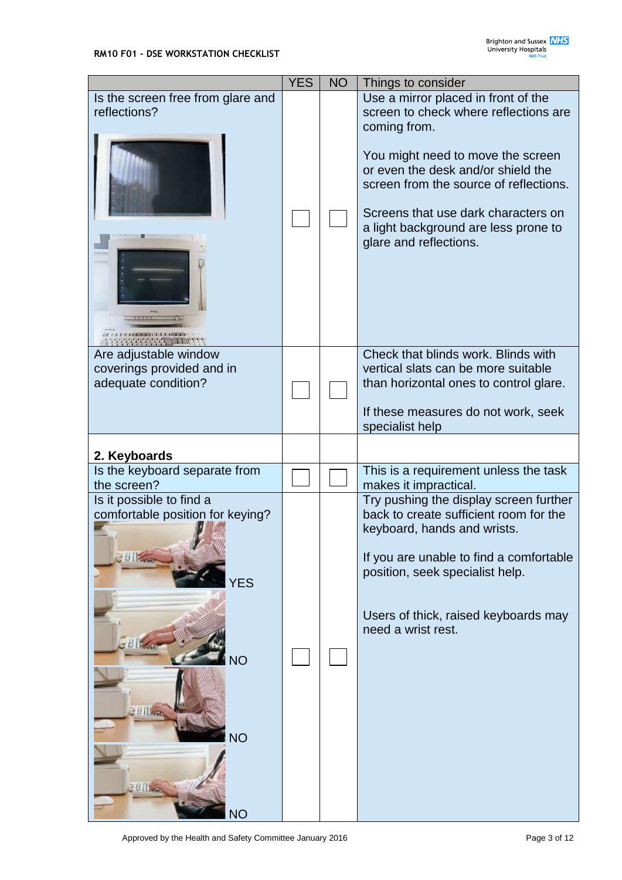|                                                                                                                                                | <b>YES</b> | <b>NO</b> | Things to consider                                                                                                                                                                                                                                                                                                         |
|------------------------------------------------------------------------------------------------------------------------------------------------|------------|-----------|----------------------------------------------------------------------------------------------------------------------------------------------------------------------------------------------------------------------------------------------------------------------------------------------------------------------------|
| Is the screen free from glare and<br>reflections?                                                                                              |            |           | Use a mirror placed in front of the<br>screen to check where reflections are<br>coming from.<br>You might need to move the screen<br>or even the desk and/or shield the<br>screen from the source of reflections.<br>Screens that use dark characters on<br>a light background are less prone to<br>glare and reflections. |
| Are adjustable window<br>coverings provided and in<br>adequate condition?                                                                      |            |           | Check that blinds work. Blinds with<br>vertical slats can be more suitable<br>than horizontal ones to control glare.<br>If these measures do not work, seek<br>specialist help                                                                                                                                             |
| 2. Keyboards                                                                                                                                   |            |           |                                                                                                                                                                                                                                                                                                                            |
| Is the keyboard separate from<br>the screen?                                                                                                   |            |           | This is a requirement unless the task<br>makes it impractical.                                                                                                                                                                                                                                                             |
| Is it possible to find a<br>comfortable position for keying?<br>ble and<br><b>YES</b><br><b>NO</b><br><b>Billian</b><br><b>NO</b><br><b>NO</b> |            |           | Try pushing the display screen further<br>back to create sufficient room for the<br>keyboard, hands and wrists.<br>If you are unable to find a comfortable<br>position, seek specialist help.<br>Users of thick, raised keyboards may<br>need a wrist rest.                                                                |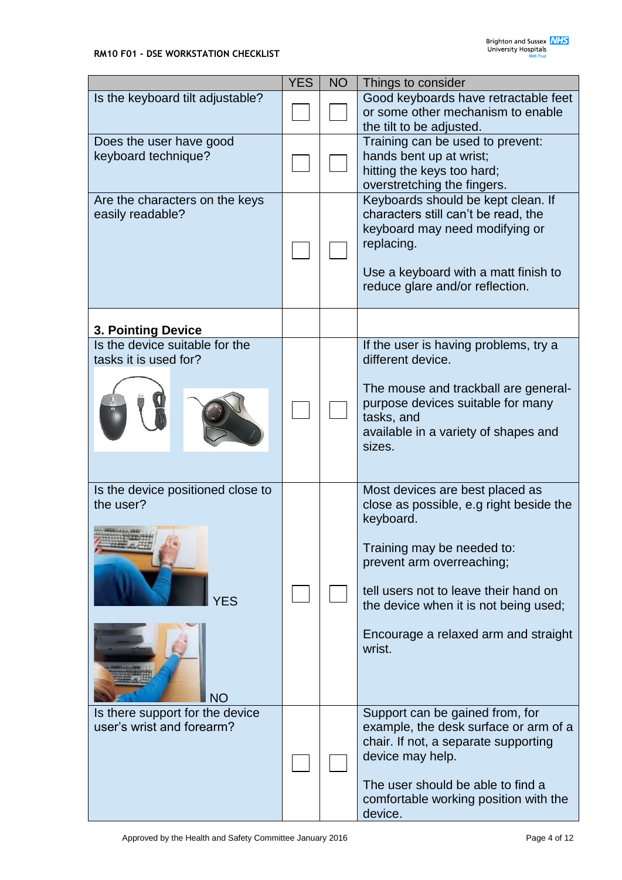|                                   | <b>YES</b> | <b>NO</b> | Things to consider                               |
|-----------------------------------|------------|-----------|--------------------------------------------------|
| Is the keyboard tilt adjustable?  |            |           | Good keyboards have retractable feet             |
|                                   |            |           | or some other mechanism to enable                |
|                                   |            |           | the tilt to be adjusted.                         |
| Does the user have good           |            |           | Training can be used to prevent:                 |
| keyboard technique?               |            |           | hands bent up at wrist;                          |
|                                   |            |           | hitting the keys too hard;                       |
|                                   |            |           | overstretching the fingers.                      |
| Are the characters on the keys    |            |           | Keyboards should be kept clean. If               |
| easily readable?                  |            |           | characters still can't be read, the              |
|                                   |            |           | keyboard may need modifying or                   |
|                                   |            |           | replacing.                                       |
|                                   |            |           | Use a keyboard with a matt finish to             |
|                                   |            |           | reduce glare and/or reflection.                  |
|                                   |            |           |                                                  |
|                                   |            |           |                                                  |
| <b>3. Pointing Device</b>         |            |           |                                                  |
| Is the device suitable for the    |            |           | If the user is having problems, try a            |
| tasks it is used for?             |            |           | different device.                                |
|                                   |            |           |                                                  |
|                                   |            |           | The mouse and trackball are general-             |
|                                   |            |           | purpose devices suitable for many                |
|                                   |            |           | tasks, and                                       |
|                                   |            |           | available in a variety of shapes and<br>sizes.   |
|                                   |            |           |                                                  |
|                                   |            |           |                                                  |
| Is the device positioned close to |            |           | Most devices are best placed as                  |
| the user?                         |            |           | close as possible, e.g right beside the          |
|                                   |            |           | keyboard.                                        |
|                                   |            |           |                                                  |
|                                   |            |           | Training may be needed to:                       |
|                                   |            |           | prevent arm overreaching;                        |
|                                   |            |           | tell users not to leave their hand on            |
| <b>YES</b>                        |            |           | the device when it is not being used;            |
|                                   |            |           |                                                  |
|                                   |            |           | Encourage a relaxed arm and straight             |
|                                   |            |           | wrist.                                           |
|                                   |            |           |                                                  |
|                                   |            |           |                                                  |
| <b>NO</b>                         |            |           |                                                  |
| Is there support for the device   |            |           | Support can be gained from, for                  |
| user's wrist and forearm?         |            |           | example, the desk surface or arm of a            |
|                                   |            |           | chair. If not, a separate supporting             |
|                                   |            |           | device may help.                                 |
|                                   |            |           |                                                  |
|                                   |            |           | The user should be able to find a                |
|                                   |            |           | comfortable working position with the<br>device. |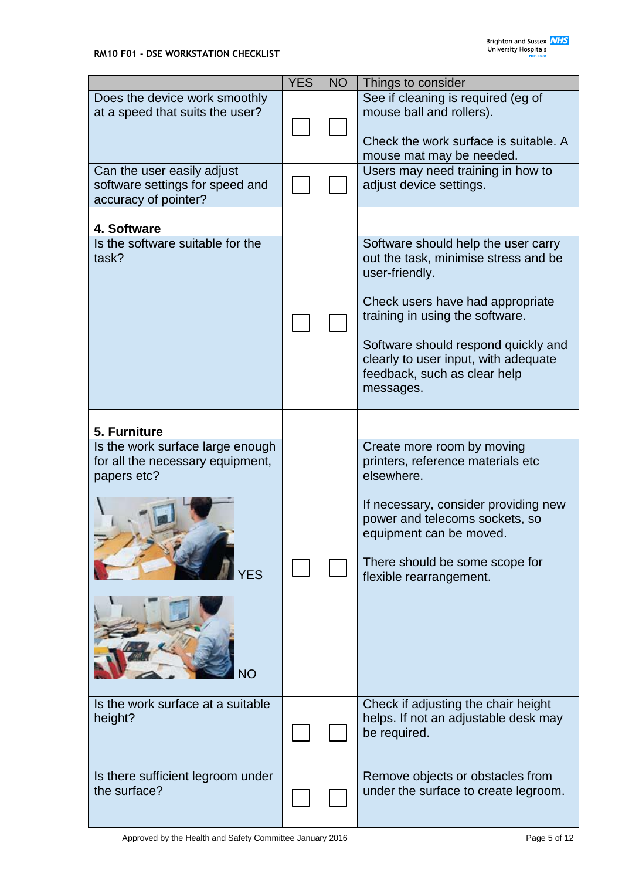|                                                                                            | <b>YES</b> | <b>NO</b> | Things to consider                                                                                                                                                                                                                                                                               |
|--------------------------------------------------------------------------------------------|------------|-----------|--------------------------------------------------------------------------------------------------------------------------------------------------------------------------------------------------------------------------------------------------------------------------------------------------|
| Does the device work smoothly<br>at a speed that suits the user?                           |            |           | See if cleaning is required (eg of<br>mouse ball and rollers).<br>Check the work surface is suitable. A                                                                                                                                                                                          |
| Can the user easily adjust<br>software settings for speed and<br>accuracy of pointer?      |            |           | mouse mat may be needed.<br>Users may need training in how to<br>adjust device settings.                                                                                                                                                                                                         |
| 4. Software                                                                                |            |           |                                                                                                                                                                                                                                                                                                  |
| Is the software suitable for the<br>task?                                                  |            |           | Software should help the user carry<br>out the task, minimise stress and be<br>user-friendly.<br>Check users have had appropriate<br>training in using the software.<br>Software should respond quickly and<br>clearly to user input, with adequate<br>feedback, such as clear help<br>messages. |
| 5. Furniture                                                                               |            |           |                                                                                                                                                                                                                                                                                                  |
| Is the work surface large enough<br>for all the necessary equipment,<br>papers etc?<br>YES |            |           | Create more room by moving<br>printers, reference materials etc<br>elsewhere.<br>If necessary, consider providing new<br>power and telecoms sockets, so<br>equipment can be moved.<br>There should be some scope for<br>flexible rearrangement.                                                  |
| Is the work surface at a suitable<br>height?                                               |            |           | Check if adjusting the chair height<br>helps. If not an adjustable desk may<br>be required.                                                                                                                                                                                                      |
| Is there sufficient legroom under<br>the surface?                                          |            |           | Remove objects or obstacles from<br>under the surface to create legroom.                                                                                                                                                                                                                         |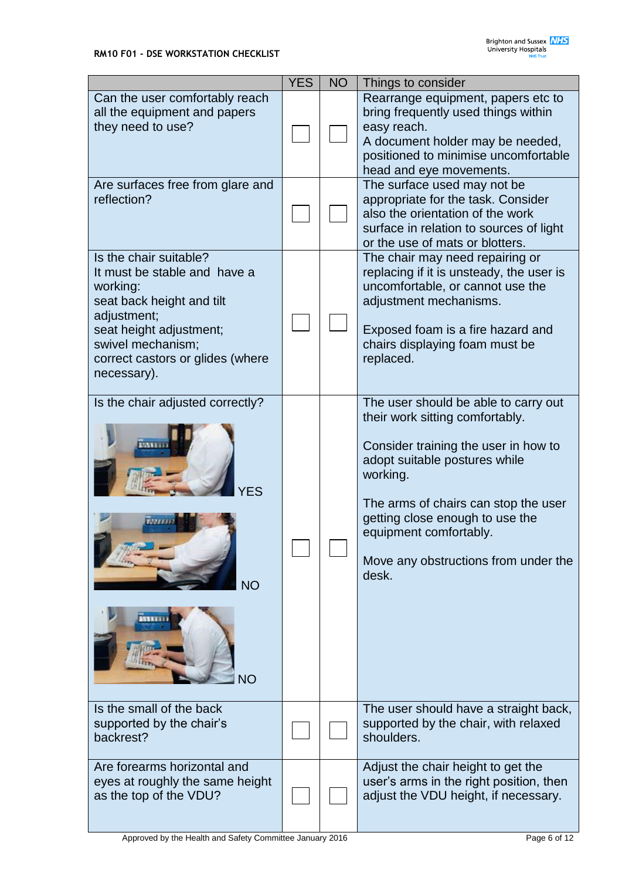|                                                                                                                                                                                                                   | <b>YES</b> | <b>NO</b> | Things to consider                                                                                                                                                                                                                                                                                                 |
|-------------------------------------------------------------------------------------------------------------------------------------------------------------------------------------------------------------------|------------|-----------|--------------------------------------------------------------------------------------------------------------------------------------------------------------------------------------------------------------------------------------------------------------------------------------------------------------------|
| Can the user comfortably reach<br>all the equipment and papers<br>they need to use?                                                                                                                               |            |           | Rearrange equipment, papers etc to<br>bring frequently used things within<br>easy reach.<br>A document holder may be needed,<br>positioned to minimise uncomfortable<br>head and eye movements.                                                                                                                    |
| Are surfaces free from glare and<br>reflection?                                                                                                                                                                   |            |           | The surface used may not be<br>appropriate for the task. Consider<br>also the orientation of the work<br>surface in relation to sources of light<br>or the use of mats or blotters.                                                                                                                                |
| Is the chair suitable?<br>It must be stable and have a<br>working:<br>seat back height and tilt<br>adjustment;<br>seat height adjustment;<br>swivel mechanism;<br>correct castors or glides (where<br>necessary). |            |           | The chair may need repairing or<br>replacing if it is unsteady, the user is<br>uncomfortable, or cannot use the<br>adjustment mechanisms.<br>Exposed foam is a fire hazard and<br>chairs displaying foam must be<br>replaced.                                                                                      |
| Is the chair adjusted correctly?<br><b>NO</b><br>VО                                                                                                                                                               |            |           | The user should be able to carry out<br>their work sitting comfortably.<br>Consider training the user in how to<br>adopt suitable postures while<br>working.<br>The arms of chairs can stop the user<br>getting close enough to use the<br>equipment comfortably.<br>Move any obstructions from under the<br>desk. |
| Is the small of the back<br>supported by the chair's<br>backrest?                                                                                                                                                 |            |           | The user should have a straight back,<br>supported by the chair, with relaxed<br>shoulders.                                                                                                                                                                                                                        |
| Are forearms horizontal and<br>eyes at roughly the same height<br>as the top of the VDU?                                                                                                                          |            |           | Adjust the chair height to get the<br>user's arms in the right position, then<br>adjust the VDU height, if necessary.                                                                                                                                                                                              |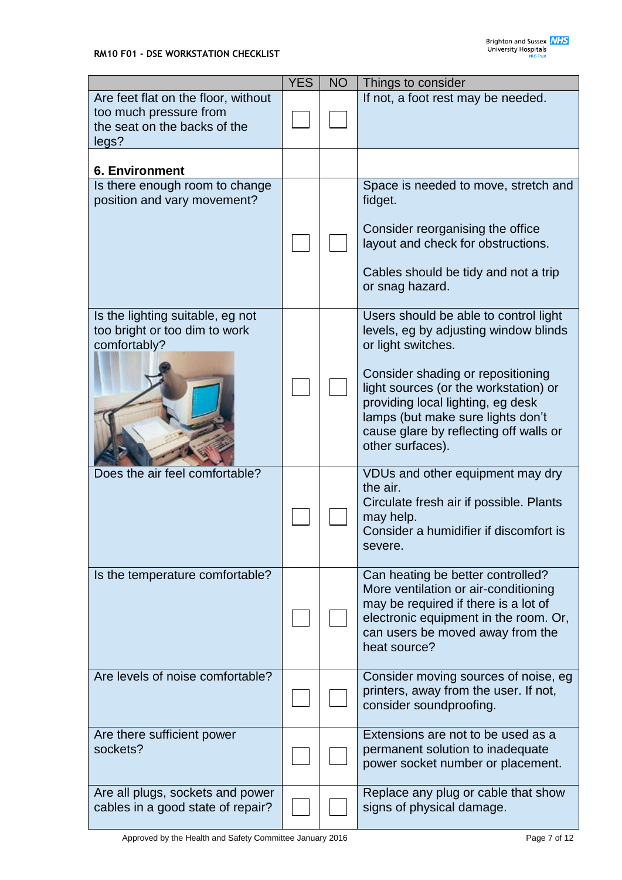|                                                                                                        | <b>YES</b> | <b>NO</b> | Things to consider                                                                                                                                                                                                                                                                                                         |
|--------------------------------------------------------------------------------------------------------|------------|-----------|----------------------------------------------------------------------------------------------------------------------------------------------------------------------------------------------------------------------------------------------------------------------------------------------------------------------------|
| Are feet flat on the floor, without<br>too much pressure from<br>the seat on the backs of the<br>legs? |            |           | If not, a foot rest may be needed.                                                                                                                                                                                                                                                                                         |
| <b>6. Environment</b>                                                                                  |            |           |                                                                                                                                                                                                                                                                                                                            |
| Is there enough room to change<br>position and vary movement?                                          |            |           | Space is needed to move, stretch and<br>fidget.<br>Consider reorganising the office<br>layout and check for obstructions.<br>Cables should be tidy and not a trip<br>or snag hazard.                                                                                                                                       |
| Is the lighting suitable, eg not<br>too bright or too dim to work<br>comfortably?                      |            |           | Users should be able to control light<br>levels, eg by adjusting window blinds<br>or light switches.<br>Consider shading or repositioning<br>light sources (or the workstation) or<br>providing local lighting, eg desk<br>lamps (but make sure lights don't<br>cause glare by reflecting off walls or<br>other surfaces). |
| Does the air feel comfortable?                                                                         |            |           | VDUs and other equipment may dry<br>the air.<br>Circulate fresh air if possible. Plants<br>may help.<br>Consider a humidifier if discomfort is<br>severe.                                                                                                                                                                  |
| Is the temperature comfortable?                                                                        |            |           | Can heating be better controlled?<br>More ventilation or air-conditioning<br>may be required if there is a lot of<br>electronic equipment in the room. Or,<br>can users be moved away from the<br>heat source?                                                                                                             |
| Are levels of noise comfortable?                                                                       |            |           | Consider moving sources of noise, eg<br>printers, away from the user. If not,<br>consider soundproofing.                                                                                                                                                                                                                   |
| Are there sufficient power<br>sockets?                                                                 |            |           | Extensions are not to be used as a<br>permanent solution to inadequate<br>power socket number or placement.                                                                                                                                                                                                                |
| Are all plugs, sockets and power<br>cables in a good state of repair?                                  |            |           | Replace any plug or cable that show<br>signs of physical damage.                                                                                                                                                                                                                                                           |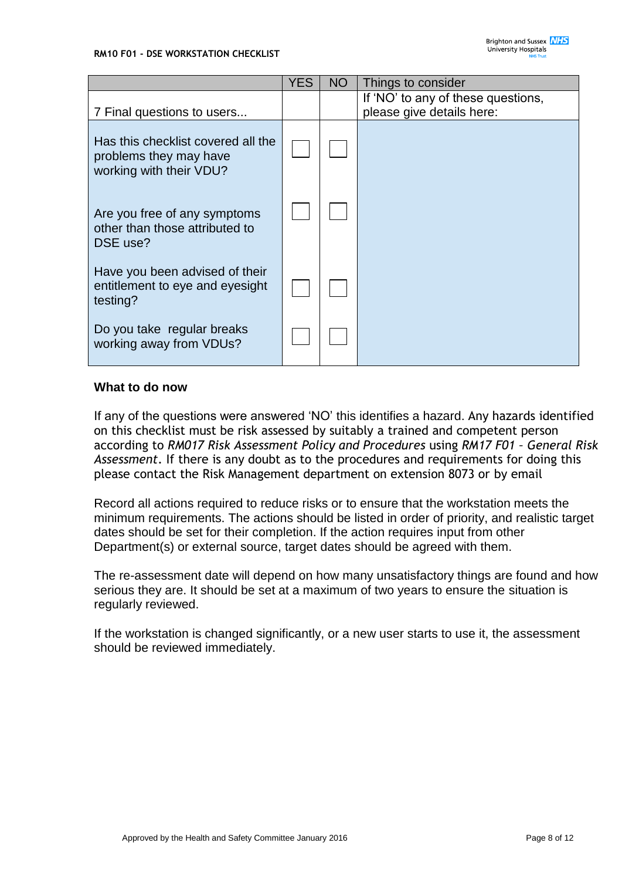|                                                                                         | <b>YES</b> | <b>NO</b> | Things to consider                                              |
|-----------------------------------------------------------------------------------------|------------|-----------|-----------------------------------------------------------------|
| 7 Final questions to users                                                              |            |           | If 'NO' to any of these questions,<br>please give details here: |
| Has this checklist covered all the<br>problems they may have<br>working with their VDU? |            |           |                                                                 |
| Are you free of any symptoms<br>other than those attributed to<br>DSE use?              |            |           |                                                                 |
| Have you been advised of their<br>entitlement to eye and eyesight<br>testing?           |            |           |                                                                 |
| Do you take regular breaks<br>working away from VDUs?                                   |            |           |                                                                 |

# **What to do now**

If any of the questions were answered 'NO' this identifies a hazard. Any hazards identified on this checklist must be risk assessed by suitably a trained and competent person according to *RM017 Risk Assessment Policy and Procedures* using *RM17 F01 – General Risk Assessment*. If there is any doubt as to the procedures and requirements for doing this please contact the Risk Management department on extension 8073 or by email

Record all actions required to reduce risks or to ensure that the workstation meets the minimum requirements. The actions should be listed in order of priority, and realistic target dates should be set for their completion. If the action requires input from other Department(s) or external source, target dates should be agreed with them.

The re-assessment date will depend on how many unsatisfactory things are found and how serious they are. It should be set at a maximum of two years to ensure the situation is regularly reviewed.

If the workstation is changed significantly, or a new user starts to use it, the assessment should be reviewed immediately.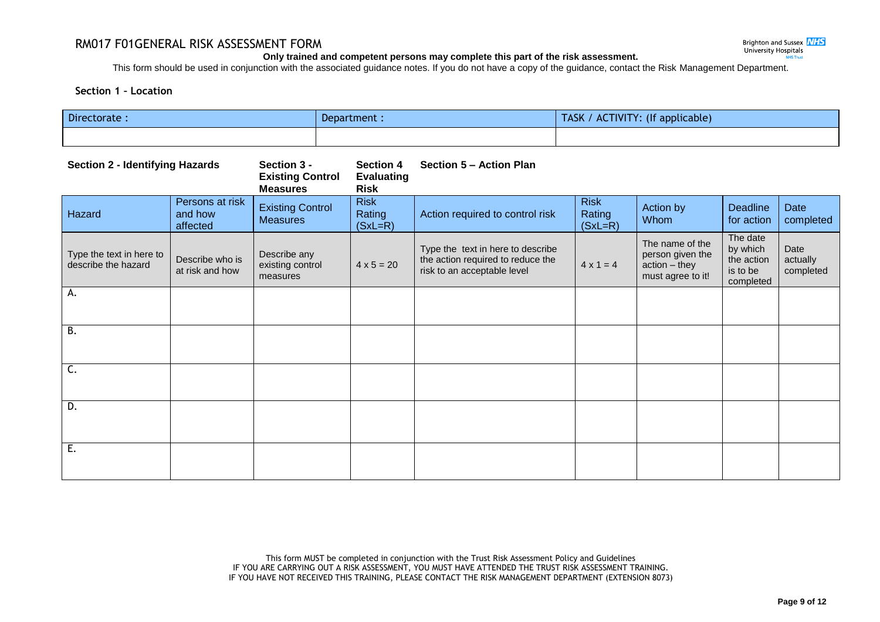# RM017 F01GENERAL RISK ASSESSMENT FORM

## **Only trained and competent persons may complete this part of the risk assessment.**

This form should be used in conjunction with the associated guidance notes. If you do not have a copy of the guidance, contact the Risk Management Department.

# **Section 1 – Location**

| Directorate :<br>Department :                   |                                        |                                                           |                                                      |                                                                                                       | TASK / ACTIVITY: (If applicable)   |                                                                           |                                                             |                               |
|-------------------------------------------------|----------------------------------------|-----------------------------------------------------------|------------------------------------------------------|-------------------------------------------------------------------------------------------------------|------------------------------------|---------------------------------------------------------------------------|-------------------------------------------------------------|-------------------------------|
|                                                 |                                        |                                                           |                                                      |                                                                                                       |                                    |                                                                           |                                                             |                               |
| <b>Section 2 - Identifying Hazards</b>          |                                        | Section 3 -<br><b>Existing Control</b><br><b>Measures</b> | <b>Section 4</b><br><b>Evaluating</b><br><b>Risk</b> | Section 5 - Action Plan                                                                               |                                    |                                                                           |                                                             |                               |
| Hazard                                          | Persons at risk<br>and how<br>affected | <b>Existing Control</b><br><b>Measures</b>                | <b>Risk</b><br>Rating<br>$(SxL=R)$                   | Action required to control risk                                                                       | <b>Risk</b><br>Rating<br>$(SxL=R)$ | Action by<br>Whom                                                         | <b>Deadline</b><br>for action                               | Date<br>completed             |
| Type the text in here to<br>describe the hazard | Describe who is<br>at risk and how     | Describe any<br>existing control<br>measures              | $4 \times 5 = 20$                                    | Type the text in here to describe<br>the action required to reduce the<br>risk to an acceptable level | $4 \times 1 = 4$                   | The name of the<br>person given the<br>action - they<br>must agree to it! | The date<br>by which<br>the action<br>is to be<br>completed | Date<br>actually<br>completed |
| А.                                              |                                        |                                                           |                                                      |                                                                                                       |                                    |                                                                           |                                                             |                               |
| B.                                              |                                        |                                                           |                                                      |                                                                                                       |                                    |                                                                           |                                                             |                               |
| C.                                              |                                        |                                                           |                                                      |                                                                                                       |                                    |                                                                           |                                                             |                               |
| D.                                              |                                        |                                                           |                                                      |                                                                                                       |                                    |                                                                           |                                                             |                               |
| Ε.                                              |                                        |                                                           |                                                      |                                                                                                       |                                    |                                                                           |                                                             |                               |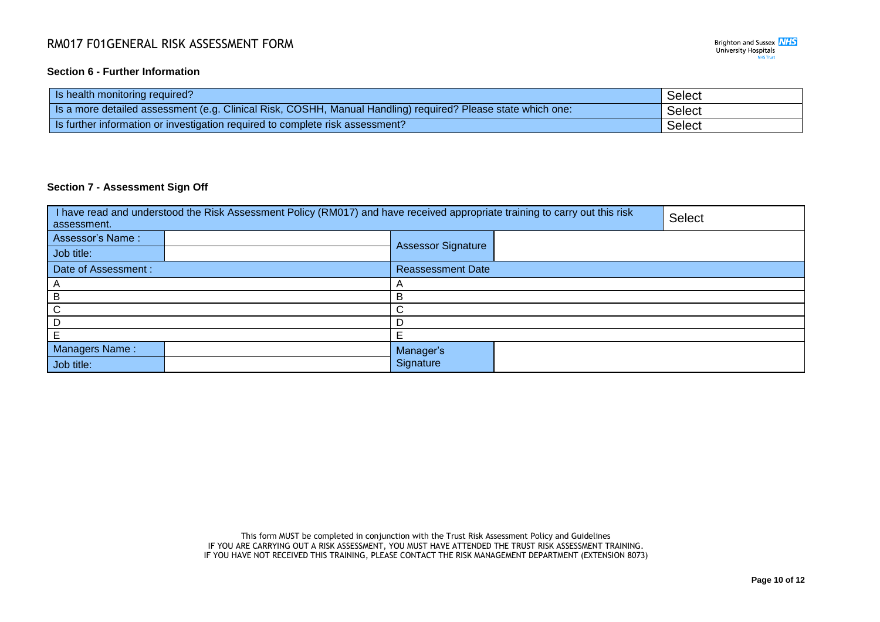# RM017 F01GENERAL RISK ASSESSMENT FORM

# **Section 6 - Further Information**

| Is health monitoring required?                                                                               | Select        |
|--------------------------------------------------------------------------------------------------------------|---------------|
| Is a more detailed assessment (e.g. Clinical Risk, COSHH, Manual Handling) required? Please state which one: | <b>Select</b> |
| Is further information or investigation required to complete risk assessment?                                | Select        |

## **Section 7 - Assessment Sign Off**

| I have read and understood the Risk Assessment Policy (RM017) and have received appropriate training to carry out this risk<br>assessment. | <b>Select</b>             |  |  |
|--------------------------------------------------------------------------------------------------------------------------------------------|---------------------------|--|--|
| Assessor's Name:                                                                                                                           | <b>Assessor Signature</b> |  |  |
| Job title:                                                                                                                                 |                           |  |  |
| Date of Assessment :                                                                                                                       | <b>Reassessment Date</b>  |  |  |
|                                                                                                                                            | $\overline{A}$            |  |  |
| B                                                                                                                                          | B                         |  |  |
| ι,                                                                                                                                         | ⌒                         |  |  |
|                                                                                                                                            | D                         |  |  |
|                                                                                                                                            | Е                         |  |  |
| Managers Name:                                                                                                                             | Manager's                 |  |  |
| Job title:                                                                                                                                 | Signature                 |  |  |

This form MUST be completed in conjunction with the Trust Risk Assessment Policy and Guidelines IF YOU ARE CARRYING OUT A RISK ASSESSMENT, YOU MUST HAVE ATTENDED THE TRUST RISK ASSESSMENT TRAINING. IF YOU HAVE NOT RECEIVED THIS TRAINING, PLEASE CONTACT THE RISK MANAGEMENT DEPARTMENT (EXTENSION 8073)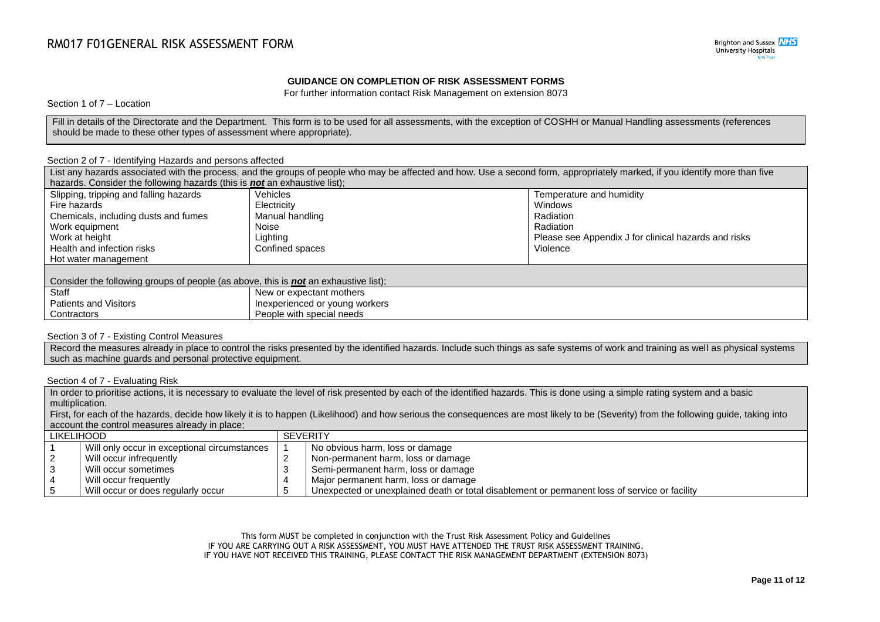### **GUIDANCE ON COMPLETION OF RISK ASSESSMENT FORMS**

For further information contact Risk Management on extension 8073

Section 1 of 7 – Location

Fill in details of the Directorate and the Department. This form is to be used for all assessments, with the exception of COSHH or Manual Handling assessments (references should be made to these other types of assessment where appropriate).

#### Section 2 of 7 - Identifying Hazards and persons affected

| List any hazards associated with the process, and the groups of people who may be affected and how. Use a second form, appropriately marked, if you identify more than five |                                                                           |  |  |  |  |
|-----------------------------------------------------------------------------------------------------------------------------------------------------------------------------|---------------------------------------------------------------------------|--|--|--|--|
|                                                                                                                                                                             |                                                                           |  |  |  |  |
| <b>Vehicles</b>                                                                                                                                                             | Temperature and humidity                                                  |  |  |  |  |
| Electricity                                                                                                                                                                 | Windows                                                                   |  |  |  |  |
| Manual handling                                                                                                                                                             | Radiation                                                                 |  |  |  |  |
| Noise                                                                                                                                                                       | Radiation                                                                 |  |  |  |  |
| Lighting                                                                                                                                                                    | Please see Appendix J for clinical hazards and risks                      |  |  |  |  |
| Confined spaces                                                                                                                                                             | Violence                                                                  |  |  |  |  |
|                                                                                                                                                                             |                                                                           |  |  |  |  |
|                                                                                                                                                                             |                                                                           |  |  |  |  |
| Consider the following groups of people (as above, this is <b>not</b> an exhaustive list);                                                                                  |                                                                           |  |  |  |  |
| New or expectant mothers                                                                                                                                                    |                                                                           |  |  |  |  |
| Inexperienced or young workers                                                                                                                                              |                                                                           |  |  |  |  |
| People with special needs                                                                                                                                                   |                                                                           |  |  |  |  |
|                                                                                                                                                                             | hazards. Consider the following hazards (this is not an exhaustive list); |  |  |  |  |

### Section 3 of 7 - Existing Control Measures

Record the measures already in place to control the risks presented by the identified hazards. Include such things as safe systems of work and training as well as physical systems such as machine guards and personal protective equipment.

#### Section 4 of 7 - Evaluating Risk

In order to prioritise actions, it is necessary to evaluate the level of risk presented by each of the identified hazards. This is done using a simple rating system and a basic multiplication.

First, for each of the hazards, decide how likely it is to happen (Likelihood) and how serious the consequences are most likely to be (Severity) from the following guide, taking into account the control measures already in place;

| LIKELIHOOD |                                              | <b>SEVERITY</b>                                                                               |  |  |
|------------|----------------------------------------------|-----------------------------------------------------------------------------------------------|--|--|
|            | Will only occur in exceptional circumstances | No obvious harm, loss or damage                                                               |  |  |
|            | Will occur infrequently                      | Non-permanent harm, loss or damage                                                            |  |  |
|            | Will occur sometimes                         | Semi-permanent harm, loss or damage                                                           |  |  |
|            | Will occur frequently                        | Major permanent harm, loss or damage                                                          |  |  |
|            | Will occur or does regularly occur           | Unexpected or unexplained death or total disablement or permanent loss of service or facility |  |  |

This form MUST be completed in conjunction with the Trust Risk Assessment Policy and Guidelines IF YOU ARE CARRYING OUT A RISK ASSESSMENT, YOU MUST HAVE ATTENDED THE TRUST RISK ASSESSMENT TRAINING. IF YOU HAVE NOT RECEIVED THIS TRAINING, PLEASE CONTACT THE RISK MANAGEMENT DEPARTMENT (EXTENSION 8073)